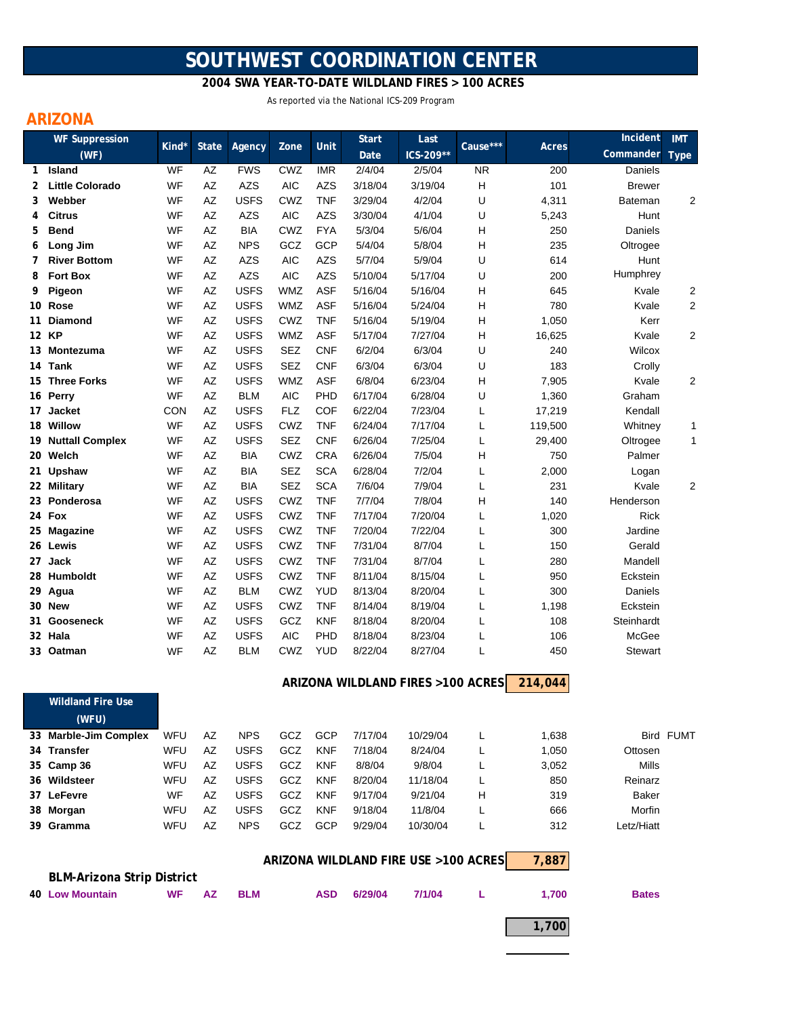# **SOUTHWEST COORDINATION CENTER**

 **2004 SWA YEAR-TO-DATE WILDLAND FIRES > 100 ACRES**

As reported via the National ICS-209 Program

## **ARIZONA**

|                                               | <b>WF Suppression</b>             |            |              |                          |                          |                          | <b>Start</b>      | Last                              |           |              | Incident       | <b>IMT</b> |
|-----------------------------------------------|-----------------------------------|------------|--------------|--------------------------|--------------------------|--------------------------|-------------------|-----------------------------------|-----------|--------------|----------------|------------|
|                                               | (WF)                              | Kind*      | <b>State</b> | Agency                   | Zone                     | Unit                     | Date              | ICS-209**                         | Cause***  | Acres        | Commander      | Type       |
| 1.                                            | <b>Island</b>                     | WF         | AZ           | <b>FWS</b>               | CWZ                      | <b>IMR</b>               | 2/4/04            | 2/5/04                            | <b>NR</b> | 200          | Daniels        |            |
| 2                                             | <b>Little Colorado</b>            | WF         | AZ           | <b>AZS</b>               | <b>AIC</b>               | <b>AZS</b>               | 3/18/04           | 3/19/04                           | Н         | 101          | <b>Brewer</b>  |            |
| 3                                             | Webber                            | WF         | AZ           | <b>USFS</b>              | CWZ                      | <b>TNF</b>               | 3/29/04           | 4/2/04                            | U         | 4,311        | Bateman        | 2          |
| 4                                             | <b>Citrus</b>                     | WF         | AZ           | AZS                      | <b>AIC</b>               | <b>AZS</b>               | 3/30/04           | 4/1/04                            | U         | 5,243        | Hunt           |            |
| 5                                             | <b>Bend</b>                       | WF         | AZ           | <b>BIA</b>               | CWZ                      | <b>FYA</b>               | 5/3/04            | 5/6/04                            | н         | 250          | Daniels        |            |
| 6                                             | Long Jim                          | WF         | AZ           | <b>NPS</b>               | GCZ                      | GCP                      | 5/4/04            | 5/8/04                            | н         | 235          | Oltrogee       |            |
| 7                                             | <b>River Bottom</b>               | WF         | AZ           | <b>AZS</b>               | <b>AIC</b>               | <b>AZS</b>               | 5/7/04            | 5/9/04                            | U         | 614          | Hunt           |            |
| 8                                             | <b>Fort Box</b>                   | WF         | AZ           | <b>AZS</b>               | <b>AIC</b>               | <b>AZS</b>               | 5/10/04           | 5/17/04                           | U         | 200          | Humphrey       |            |
| 9                                             | Pigeon                            | WF         | AZ           | <b>USFS</b>              | <b>WMZ</b>               | <b>ASF</b>               | 5/16/04           | 5/16/04                           | Н         | 645          | Kvale          | 2          |
|                                               | 10 Rose                           | WF         | AZ           | <b>USFS</b>              | <b>WMZ</b>               | <b>ASF</b>               | 5/16/04           | 5/24/04                           | н         | 780          | Kvale          | 2          |
| 11                                            | <b>Diamond</b>                    | WF         | AZ           | <b>USFS</b>              | CWZ                      | <b>TNF</b>               | 5/16/04           | 5/19/04                           | н         | 1,050        | Kerr           |            |
|                                               | 12 KP                             | WF         | AZ           | <b>USFS</b>              | <b>WMZ</b>               | <b>ASF</b>               | 5/17/04           | 7/27/04                           | н         | 16,625       | Kvale          | 2          |
|                                               | 13 Montezuma                      | WF         | AZ           | <b>USFS</b>              | <b>SEZ</b>               | <b>CNF</b>               | 6/2/04            | 6/3/04                            | U         | 240          | Wilcox         |            |
| 14                                            | Tank                              | WF         | AZ           | <b>USFS</b>              | <b>SEZ</b>               | <b>CNF</b>               | 6/3/04            | 6/3/04                            | U         | 183          | Crolly         |            |
| 15                                            | <b>Three Forks</b>                | WF         | AZ           | <b>USFS</b>              | <b>WMZ</b>               | <b>ASF</b>               | 6/8/04            | 6/23/04                           | н         | 7,905        | Kvale          | 2          |
|                                               | 16 Perry                          | WF         | AZ           | <b>BLM</b>               | <b>AIC</b>               | PHD                      | 6/17/04           | 6/28/04                           | U         | 1,360        | Graham         |            |
| 17                                            | <b>Jacket</b>                     | <b>CON</b> | AZ           | <b>USFS</b>              | <b>FLZ</b><br>CWZ        | <b>COF</b>               | 6/22/04           | 7/23/04                           | L         | 17,219       | Kendall        |            |
|                                               | 18 Willow                         | WF<br>WF   | AZ           | <b>USFS</b>              | <b>SEZ</b>               | TNF<br><b>CNF</b>        | 6/24/04           | 7/17/04                           | L         | 119,500      | Whitney        | 1          |
|                                               | 19 Nuttall Complex                |            | AZ           | <b>USFS</b>              |                          |                          | 6/26/04           | 7/25/04                           | L         | 29,400       | Oltrogee       | 1          |
|                                               | 20 Welch                          | WF         | AZ           | <b>BIA</b><br><b>BIA</b> | CWZ                      | <b>CRA</b>               | 6/26/04           | 7/5/04                            | Н         | 750          | Palmer         |            |
| 21.                                           | Upshaw<br>22 Military             | WF<br>WF   | AZ<br>AZ     | BIA                      | <b>SEZ</b><br><b>SEZ</b> | <b>SCA</b><br><b>SCA</b> | 6/28/04<br>7/6/04 | 7/2/04<br>7/9/04                  | L<br>L    | 2,000<br>231 | Logan<br>Kvale | 2          |
|                                               | 23 Ponderosa                      | WF         | AZ           | <b>USFS</b>              | CWZ                      | <b>TNF</b>               | 7/7/04            | 7/8/04                            | Н         | 140          | Henderson      |            |
|                                               | 24 Fox                            | WF         | AZ           | <b>USFS</b>              | CWZ                      | <b>TNF</b>               | 7/17/04           | 7/20/04                           | L         | 1,020        | Rick           |            |
|                                               | 25 Magazine                       | WF         | AZ           | <b>USFS</b>              | CWZ                      | <b>TNF</b>               | 7/20/04           | 7/22/04                           | L         | 300          | Jardine        |            |
|                                               | 26 Lewis                          | WF         | AZ           | <b>USFS</b>              | CWZ                      | <b>TNF</b>               | 7/31/04           | 8/7/04                            | L         | 150          | Gerald         |            |
| 27                                            | Jack                              | WF         | AZ           | <b>USFS</b>              | CWZ                      | <b>TNF</b>               | 7/31/04           | 8/7/04                            | L         | 280          | Mandell        |            |
|                                               | 28 Humboldt                       | WF         | AZ           | <b>USFS</b>              | CWZ                      | <b>TNF</b>               | 8/11/04           | 8/15/04                           | L         | 950          | Eckstein       |            |
|                                               | 29 Agua                           | WF         | AZ           | <b>BLM</b>               | CWZ                      | <b>YUD</b>               | 8/13/04           | 8/20/04                           | L         | 300          | Daniels        |            |
|                                               | 30 New                            | WF         | AZ           | <b>USFS</b>              | CWZ                      | <b>TNF</b>               | 8/14/04           | 8/19/04                           | Г         | 1,198        | Eckstein       |            |
|                                               | 31 Gooseneck                      | WF         | AZ           | <b>USFS</b>              | GCZ                      | <b>KNF</b>               | 8/18/04           | 8/20/04                           | L         | 108          | Steinhardt     |            |
|                                               | 32 Hala                           | WF         | AZ           | <b>USFS</b>              | <b>AIC</b>               | PHD                      | 8/18/04           | 8/23/04                           | L         | 106          | McGee          |            |
|                                               | 33 Oatman                         | WF         | AZ           | <b>BLM</b>               | CWZ                      | <b>YUD</b>               | 8/22/04           | 8/27/04                           | L         | 450          | Stewart        |            |
|                                               |                                   |            |              |                          |                          |                          |                   |                                   |           |              |                |            |
|                                               |                                   |            |              |                          |                          |                          |                   | ARIZONA WILDLAND FIRES >100 ACRES |           | 214,044      |                |            |
|                                               | <b>Wildland Fire Use</b>          |            |              |                          |                          |                          |                   |                                   |           |              |                |            |
|                                               | (WFU)                             |            |              |                          |                          |                          |                   |                                   |           |              |                |            |
|                                               | 33 Marble-Jim Complex             | WFU        | AZ           | <b>NPS</b>               | GCZ                      | GCP                      | 7/17/04           | 10/29/04                          | L         | 1,638        |                | Bird FUMT  |
|                                               | 34 Transfer                       | WFU        | AZ           | <b>USFS</b>              | GCZ                      | <b>KNF</b>               | 7/18/04           | 8/24/04                           | L         | 1,050        | Ottosen        |            |
|                                               | 35 Camp 36                        | WFU        | AZ           | <b>USFS</b>              | GCZ                      | <b>KNF</b>               | 8/8/04            | 9/8/04                            | L         | 3,052        | Mills          |            |
|                                               | 36 Wildsteer                      | WFU        | AZ           | <b>USFS</b>              | GCZ                      | KNF                      | 8/20/04           | 11/18/04                          | L         | 850          | Reinarz        |            |
|                                               | 37 LeFevre                        | WF         | AΖ           | <b>USFS</b>              | GCZ                      | KNF                      | 9/17/04           | 9/21/04                           | н         | 319          | Baker          |            |
|                                               | 38 Morgan                         | WFU        | AZ           | <b>USFS</b>              | GCZ                      | <b>KNF</b>               | 9/18/04           | 11/8/04                           | L         | 666          | Morfin         |            |
|                                               | 39 Gramma                         | WFU        | AZ           | <b>NPS</b>               | GCZ                      | GCP                      | 9/29/04           | 10/30/04                          | L         | 312          | Letz/Hiatt     |            |
|                                               |                                   |            |              |                          |                          |                          |                   |                                   |           |              |                |            |
|                                               |                                   |            |              |                          |                          |                          |                   |                                   |           |              |                |            |
| ARIZONA WILDLAND FIRE USE >100 ACRES<br>7,887 |                                   |            |              |                          |                          |                          |                   |                                   |           |              |                |            |
|                                               | <b>BLM-Arizona Strip District</b> |            |              |                          |                          |                          |                   |                                   |           |              |                |            |
|                                               | <b>40 Low Mountain</b>            | WF         | ΑZ           | <b>BLM</b>               |                          | <b>ASD</b>               | 6/29/04           | 7/1/04                            | L         | 1,700        | <b>Bates</b>   |            |
|                                               |                                   |            |              |                          |                          |                          |                   |                                   |           |              |                |            |
|                                               |                                   |            |              |                          |                          |                          |                   |                                   |           | 1,700        |                |            |
|                                               |                                   |            |              |                          |                          |                          |                   |                                   |           |              |                |            |